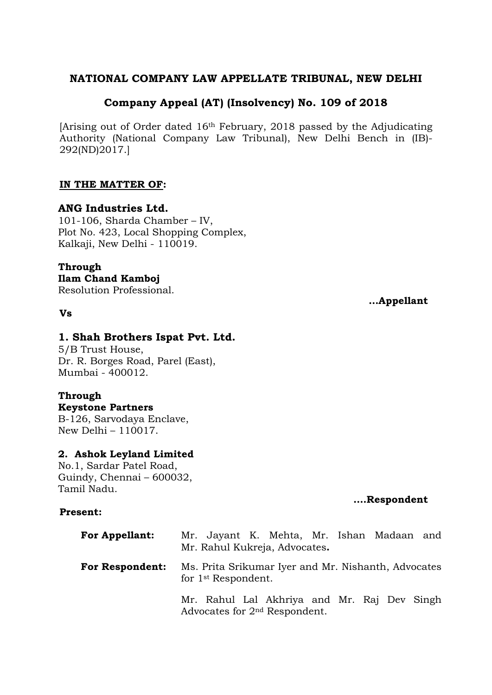# **NATIONAL COMPANY LAW APPELLATE TRIBUNAL, NEW DELHI**

# **Company Appeal (AT) (Insolvency) No. 109 of 2018**

[Arising out of Order dated 16th February, 2018 passed by the Adjudicating Authority (National Company Law Tribunal), New Delhi Bench in (IB)- 292(ND)2017.]

## **IN THE MATTER OF:**

# **ANG Industries Ltd.**

101-106, Sharda Chamber – IV, Plot No. 423, Local Shopping Complex, Kalkaji, New Delhi - 110019.

# **Through**

**Ilam Chand Kamboj**

Resolution Professional.

#### **Vs**

# **1. Shah Brothers Ispat Pvt. Ltd.**

5/B Trust House, Dr. R. Borges Road, Parel (East), Mumbai - 400012.

## **Through**

**Keystone Partners** B-126, Sarvodaya Enclave, New Delhi – 110017.

## **2. Ashok Leyland Limited**

No.1, Sardar Patel Road, Guindy, Chennai – 600032, Tamil Nadu.

## **….Respondent**

## **Present:**

| <b>For Appellant:</b>  | Mr. Jayant K. Mehta, Mr. Ishan Madaan and<br>Mr. Rahul Kukreja, Advocates.               |
|------------------------|------------------------------------------------------------------------------------------|
| <b>For Respondent:</b> | Ms. Prita Srikumar Iver and Mr. Nishanth, Advocates<br>for 1 <sup>st</sup> Respondent.   |
|                        | Mr. Rahul Lal Akhriya and Mr. Raj Dev Singh<br>Advocates for 2 <sup>nd</sup> Respondent. |

**…Appellant**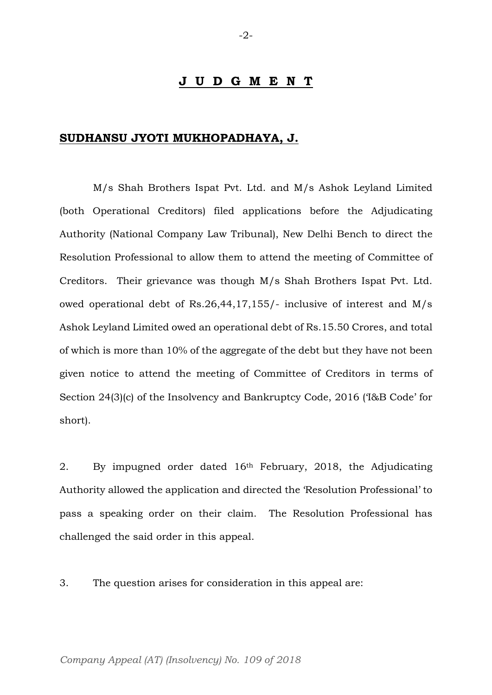#### **J U D G M E N T**

#### **SUDHANSU JYOTI MUKHOPADHAYA, J.**

M/s Shah Brothers Ispat Pvt. Ltd. and M/s Ashok Leyland Limited (both Operational Creditors) filed applications before the Adjudicating Authority (National Company Law Tribunal), New Delhi Bench to direct the Resolution Professional to allow them to attend the meeting of Committee of Creditors. Their grievance was though M/s Shah Brothers Ispat Pvt. Ltd. owed operational debt of Rs.26,44,17,155/- inclusive of interest and M/s Ashok Leyland Limited owed an operational debt of Rs.15.50 Crores, and total of which is more than 10% of the aggregate of the debt but they have not been given notice to attend the meeting of Committee of Creditors in terms of Section 24(3)(c) of the Insolvency and Bankruptcy Code, 2016 ('I&B Code' for short).

2. By impugned order dated 16th February, 2018, the Adjudicating Authority allowed the application and directed the 'Resolution Professional' to pass a speaking order on their claim. The Resolution Professional has challenged the said order in this appeal.

3. The question arises for consideration in this appeal are: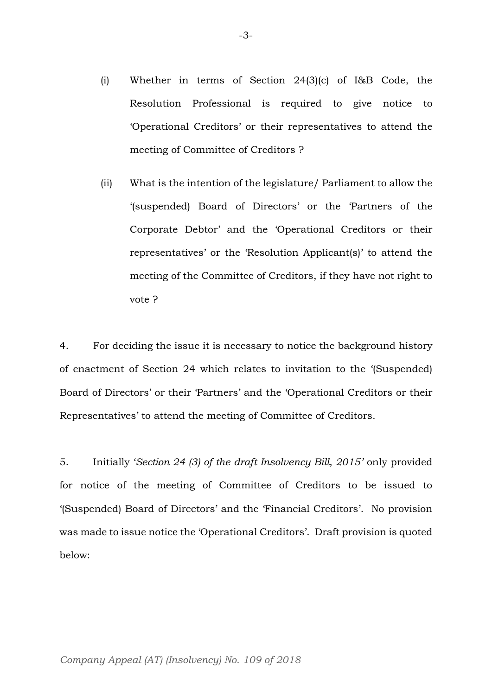- (i) Whether in terms of Section 24(3)(c) of I&B Code, the Resolution Professional is required to give notice to 'Operational Creditors' or their representatives to attend the meeting of Committee of Creditors ?
- (ii) What is the intention of the legislature/ Parliament to allow the '(suspended) Board of Directors' or the 'Partners of the Corporate Debtor' and the 'Operational Creditors or their representatives' or the 'Resolution Applicant(s)' to attend the meeting of the Committee of Creditors, if they have not right to vote ?

4. For deciding the issue it is necessary to notice the background history of enactment of Section 24 which relates to invitation to the '(Suspended) Board of Directors' or their 'Partners' and the 'Operational Creditors or their Representatives' to attend the meeting of Committee of Creditors.

5. Initially '*Section 24 (3) of the draft Insolvency Bill, 2015'* only provided for notice of the meeting of Committee of Creditors to be issued to '(Suspended) Board of Directors' and the 'Financial Creditors'. No provision was made to issue notice the 'Operational Creditors'. Draft provision is quoted below: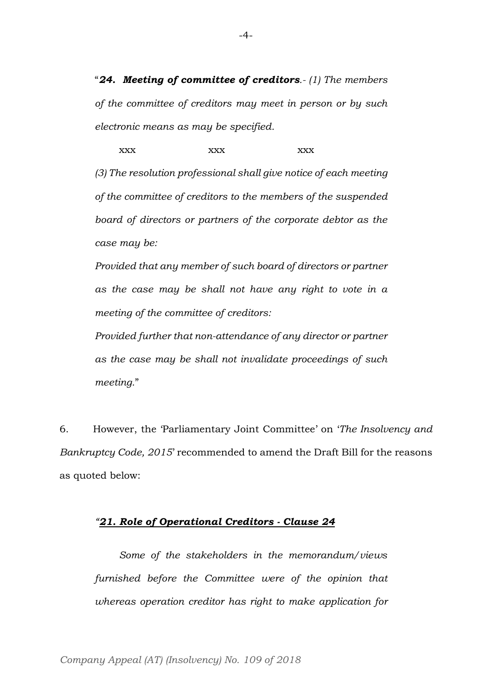"*24. Meeting of committee of creditors.- (1) The members of the committee of creditors may meet in person or by such electronic means as may be specified.*

xxx xxx xxx xxx *(3) The resolution professional shall give notice of each meeting of the committee of creditors to the members of the suspended board of directors or partners of the corporate debtor as the case may be:*

*Provided that any member of such board of directors or partner as the case may be shall not have any right to vote in a meeting of the committee of creditors:*

*Provided further that non-attendance of any director or partner as the case may be shall not invalidate proceedings of such meeting.*"

6. However, the 'Parliamentary Joint Committee' on '*The Insolvency and Bankruptcy Code, 2015*' recommended to amend the Draft Bill for the reasons as quoted below:

#### *"21. Role of Operational Creditors - Clause 24*

*Some of the stakeholders in the memorandum/views furnished before the Committee were of the opinion that whereas operation creditor has right to make application for*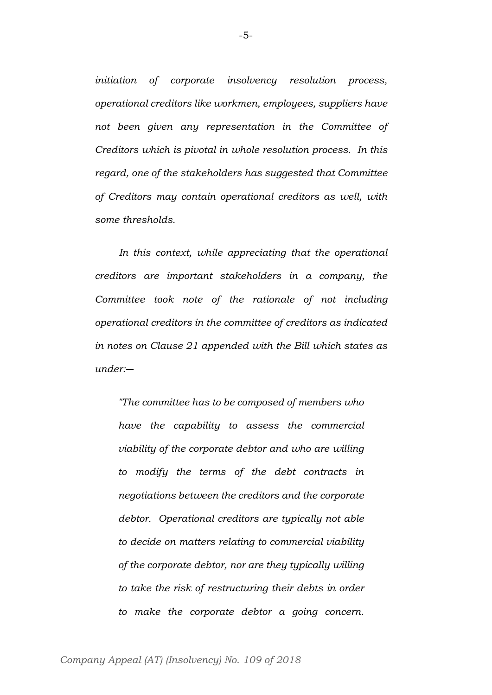*initiation of corporate insolvency resolution process, operational creditors like workmen, employees, suppliers have not been given any representation in the Committee of Creditors which is pivotal in whole resolution process. In this regard, one of the stakeholders has suggested that Committee of Creditors may contain operational creditors as well, with some thresholds.* 

*In this context, while appreciating that the operational creditors are important stakeholders in a company, the Committee took note of the rationale of not including operational creditors in the committee of creditors as indicated in notes on Clause 21 appended with the Bill which states as under:―*

*"The committee has to be composed of members who have the capability to assess the commercial viability of the corporate debtor and who are willing to modify the terms of the debt contracts in negotiations between the creditors and the corporate debtor. Operational creditors are typically not able to decide on matters relating to commercial viability of the corporate debtor, nor are they typically willing to take the risk of restructuring their debts in order to make the corporate debtor a going concern.*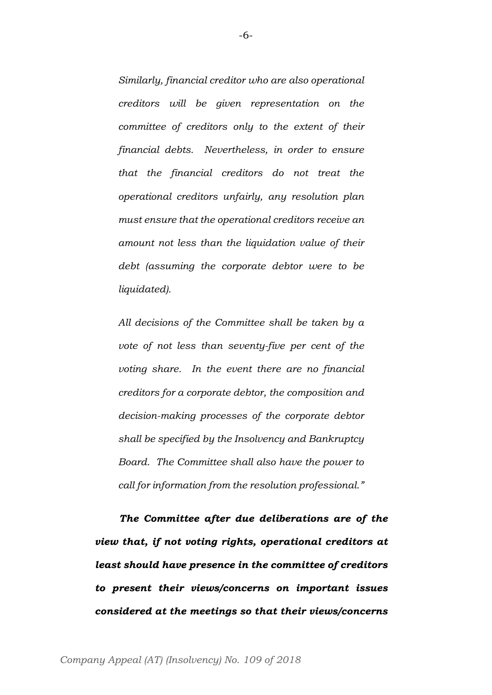*Similarly, financial creditor who are also operational creditors will be given representation on the committee of creditors only to the extent of their financial debts. Nevertheless, in order to ensure that the financial creditors do not treat the operational creditors unfairly, any resolution plan must ensure that the operational creditors receive an amount not less than the liquidation value of their debt (assuming the corporate debtor were to be liquidated).*

*All decisions of the Committee shall be taken by a vote of not less than seventy-five per cent of the voting share. In the event there are no financial creditors for a corporate debtor, the composition and decision-making processes of the corporate debtor shall be specified by the Insolvency and Bankruptcy Board. The Committee shall also have the power to call for information from the resolution professional."*

*The Committee after due deliberations are of the view that, if not voting rights, operational creditors at least should have presence in the committee of creditors to present their views/concerns on important issues considered at the meetings so that their views/concerns*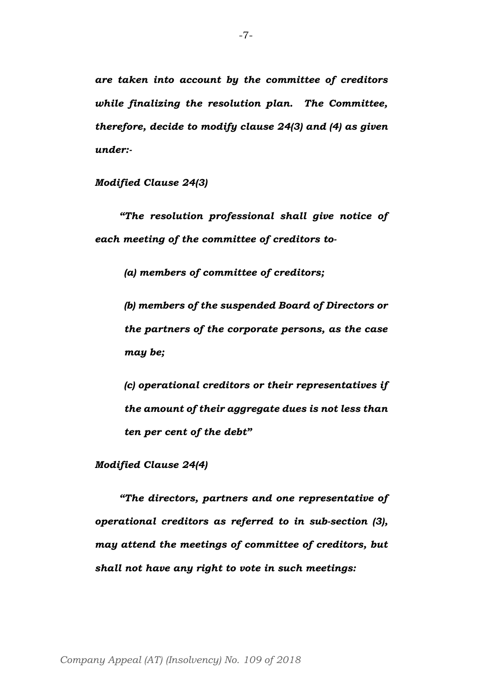*are taken into account by the committee of creditors while finalizing the resolution plan. The Committee, therefore, decide to modify clause 24(3) and (4) as given under:-*

*Modified Clause 24(3)*

*"The resolution professional shall give notice of each meeting of the committee of creditors to-*

*(a) members of committee of creditors;*

*(b) members of the suspended Board of Directors or the partners of the corporate persons, as the case may be;*

*(c) operational creditors or their representatives if the amount of their aggregate dues is not less than ten per cent of the debt"*

*Modified Clause 24(4)*

*"The directors, partners and one representative of operational creditors as referred to in sub-section (3), may attend the meetings of committee of creditors, but shall not have any right to vote in such meetings:*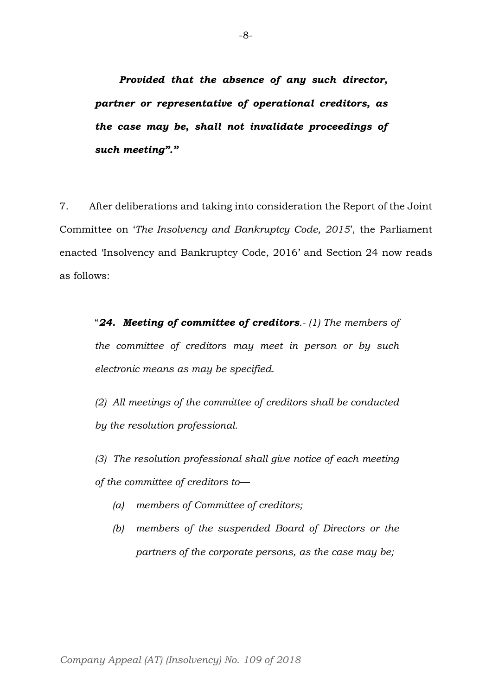*Provided that the absence of any such director, partner or representative of operational creditors, as the case may be, shall not invalidate proceedings of such meeting"."*

7. After deliberations and taking into consideration the Report of the Joint Committee on '*The Insolvency and Bankruptcy Code, 2015*', the Parliament enacted 'Insolvency and Bankruptcy Code, 2016' and Section 24 now reads as follows:

"*24. Meeting of committee of creditors.- (1) The members of the committee of creditors may meet in person or by such electronic means as may be specified.*

*(2) All meetings of the committee of creditors shall be conducted by the resolution professional.*

*(3) The resolution professional shall give notice of each meeting of the committee of creditors to—*

- *(a) members of Committee of creditors;*
- *(b) members of the suspended Board of Directors or the partners of the corporate persons, as the case may be;*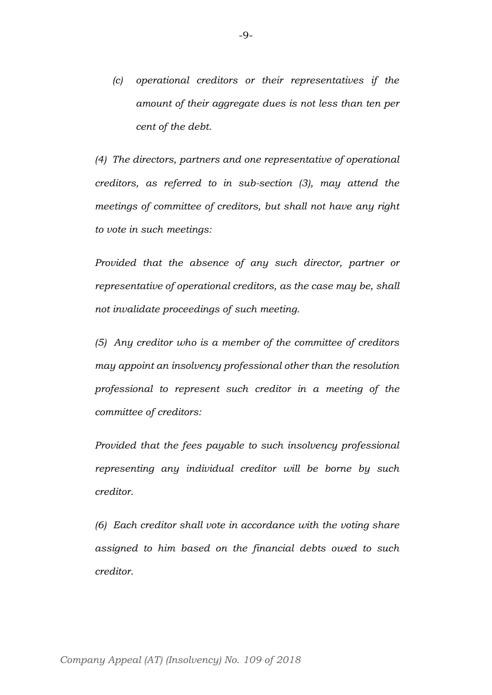*(c) operational creditors or their representatives if the amount of their aggregate dues is not less than ten per cent of the debt.*

*(4) The directors, partners and one representative of operational creditors, as referred to in sub-section (3), may attend the meetings of committee of creditors, but shall not have any right to vote in such meetings:*

*Provided that the absence of any such director, partner or representative of operational creditors, as the case may be, shall not invalidate proceedings of such meeting.*

*(5) Any creditor who is a member of the committee of creditors may appoint an insolvency professional other than the resolution professional to represent such creditor in a meeting of the committee of creditors:*

*Provided that the fees payable to such insolvency professional representing any individual creditor will be borne by such creditor.*

*(6) Each creditor shall vote in accordance with the voting share assigned to him based on the financial debts owed to such creditor.*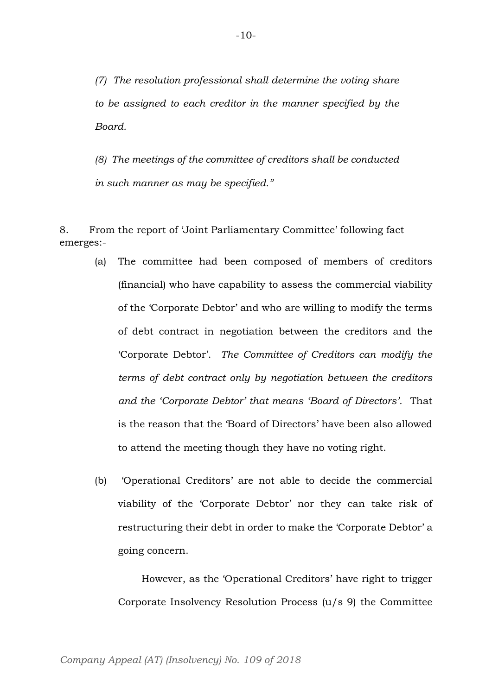*(7) The resolution professional shall determine the voting share to be assigned to each creditor in the manner specified by the Board.*

*(8) The meetings of the committee of creditors shall be conducted in such manner as may be specified."*

8. From the report of 'Joint Parliamentary Committee' following fact emerges:-

- (a) The committee had been composed of members of creditors (financial) who have capability to assess the commercial viability of the 'Corporate Debtor' and who are willing to modify the terms of debt contract in negotiation between the creditors and the 'Corporate Debtor'. *The Committee of Creditors can modify the terms of debt contract only by negotiation between the creditors and the 'Corporate Debtor' that means 'Board of Directors'.* That is the reason that the 'Board of Directors' have been also allowed to attend the meeting though they have no voting right.
- (b) 'Operational Creditors' are not able to decide the commercial viability of the 'Corporate Debtor' nor they can take risk of restructuring their debt in order to make the 'Corporate Debtor' a going concern.

However, as the 'Operational Creditors' have right to trigger Corporate Insolvency Resolution Process (u/s 9) the Committee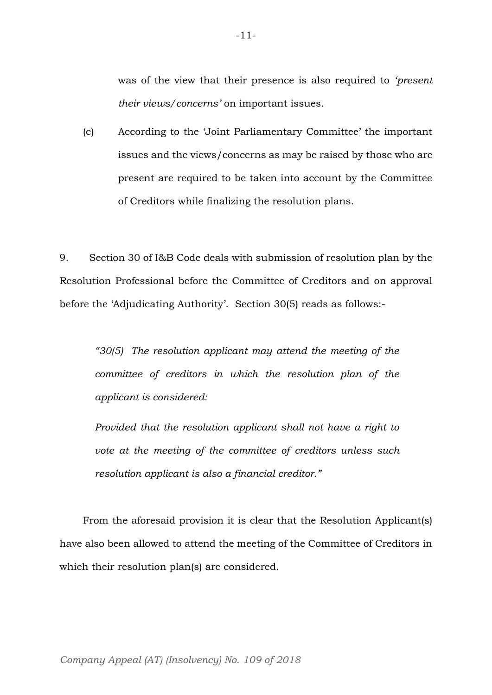was of the view that their presence is also required to *'present their views/concerns'* on important issues.

(c) According to the 'Joint Parliamentary Committee' the important issues and the views/concerns as may be raised by those who are present are required to be taken into account by the Committee of Creditors while finalizing the resolution plans.

9. Section 30 of I&B Code deals with submission of resolution plan by the Resolution Professional before the Committee of Creditors and on approval before the 'Adjudicating Authority'. Section 30(5) reads as follows:-

*"30(5) The resolution applicant may attend the meeting of the committee of creditors in which the resolution plan of the applicant is considered:*

*Provided that the resolution applicant shall not have a right to vote at the meeting of the committee of creditors unless such resolution applicant is also a financial creditor."*

From the aforesaid provision it is clear that the Resolution Applicant(s) have also been allowed to attend the meeting of the Committee of Creditors in which their resolution plan(s) are considered.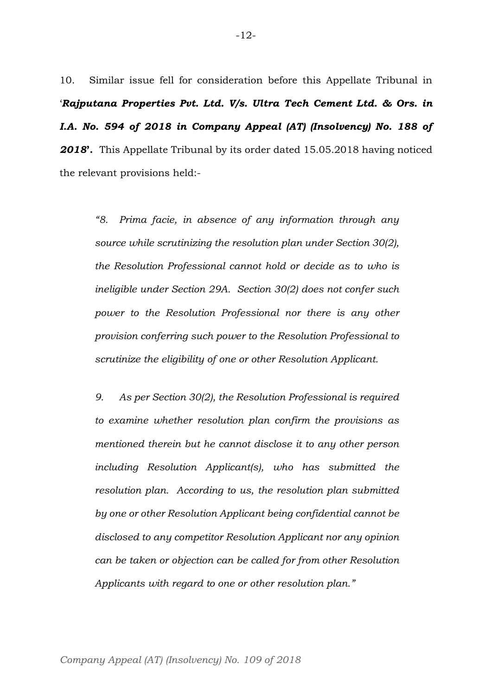10. Similar issue fell for consideration before this Appellate Tribunal in '*Rajputana Properties Pvt. Ltd. V/s. Ultra Tech Cement Ltd. & Ors. in I.A. No. 594 of 2018 in Company Appeal (AT) (Insolvency) No. 188 of 2018***'.** This Appellate Tribunal by its order dated 15.05.2018 having noticed the relevant provisions held:-

*"8. Prima facie, in absence of any information through any source while scrutinizing the resolution plan under Section 30(2), the Resolution Professional cannot hold or decide as to who is ineligible under Section 29A. Section 30(2) does not confer such power to the Resolution Professional nor there is any other provision conferring such power to the Resolution Professional to scrutinize the eligibility of one or other Resolution Applicant.*

*9. As per Section 30(2), the Resolution Professional is required to examine whether resolution plan confirm the provisions as mentioned therein but he cannot disclose it to any other person including Resolution Applicant(s), who has submitted the resolution plan. According to us, the resolution plan submitted by one or other Resolution Applicant being confidential cannot be disclosed to any competitor Resolution Applicant nor any opinion can be taken or objection can be called for from other Resolution Applicants with regard to one or other resolution plan."*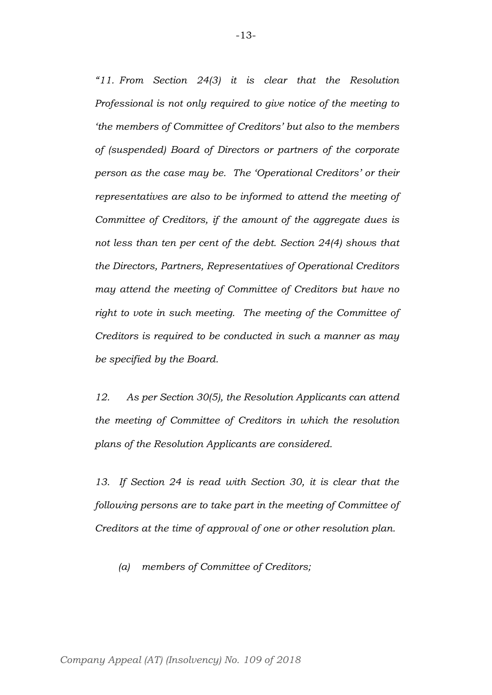*"11. From Section 24(3) it is clear that the Resolution Professional is not only required to give notice of the meeting to 'the members of Committee of Creditors' but also to the members of (suspended) Board of Directors or partners of the corporate person as the case may be. The 'Operational Creditors' or their representatives are also to be informed to attend the meeting of Committee of Creditors, if the amount of the aggregate dues is not less than ten per cent of the debt. Section 24(4) shows that the Directors, Partners, Representatives of Operational Creditors may attend the meeting of Committee of Creditors but have no right to vote in such meeting. The meeting of the Committee of Creditors is required to be conducted in such a manner as may be specified by the Board.*

*12. As per Section 30(5), the Resolution Applicants can attend the meeting of Committee of Creditors in which the resolution plans of the Resolution Applicants are considered.*

*13. If Section 24 is read with Section 30, it is clear that the following persons are to take part in the meeting of Committee of Creditors at the time of approval of one or other resolution plan.*

*(a) members of Committee of Creditors;*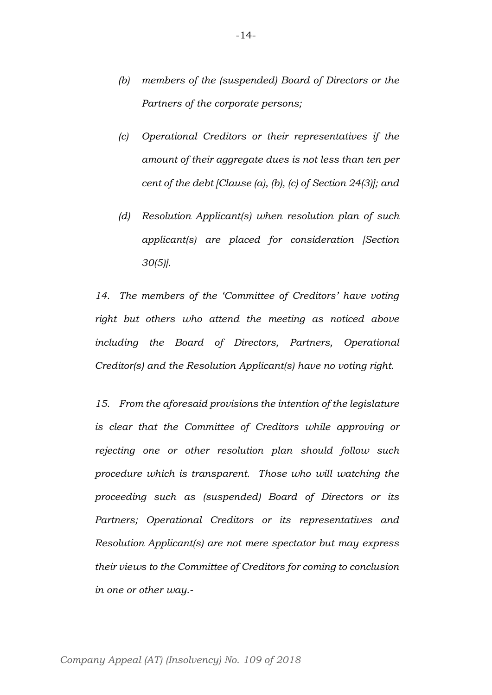- *(b) members of the (suspended) Board of Directors or the Partners of the corporate persons;*
- *(c) Operational Creditors or their representatives if the amount of their aggregate dues is not less than ten per cent of the debt [Clause (a), (b), (c) of Section 24(3)]; and*
- *(d) Resolution Applicant(s) when resolution plan of such applicant(s) are placed for consideration [Section 30(5)].*

*14. The members of the 'Committee of Creditors' have voting right but others who attend the meeting as noticed above including the Board of Directors, Partners, Operational Creditor(s) and the Resolution Applicant(s) have no voting right.*

*15. From the aforesaid provisions the intention of the legislature is clear that the Committee of Creditors while approving or rejecting one or other resolution plan should follow such procedure which is transparent. Those who will watching the proceeding such as (suspended) Board of Directors or its Partners; Operational Creditors or its representatives and Resolution Applicant(s) are not mere spectator but may express their views to the Committee of Creditors for coming to conclusion in one or other way.-*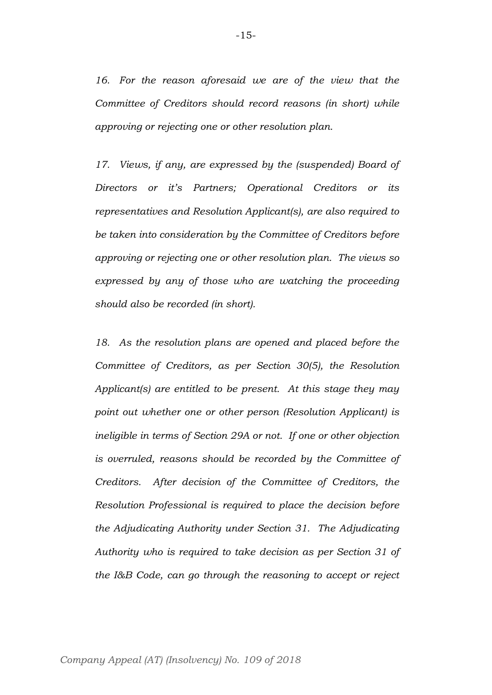*16. For the reason aforesaid we are of the view that the Committee of Creditors should record reasons (in short) while approving or rejecting one or other resolution plan.* 

*17. Views, if any, are expressed by the (suspended) Board of Directors or it's Partners; Operational Creditors or its representatives and Resolution Applicant(s), are also required to be taken into consideration by the Committee of Creditors before approving or rejecting one or other resolution plan. The views so expressed by any of those who are watching the proceeding should also be recorded (in short).*

*18. As the resolution plans are opened and placed before the Committee of Creditors, as per Section 30(5), the Resolution Applicant(s) are entitled to be present. At this stage they may point out whether one or other person (Resolution Applicant) is ineligible in terms of Section 29A or not. If one or other objection is overruled, reasons should be recorded by the Committee of Creditors. After decision of the Committee of Creditors, the Resolution Professional is required to place the decision before the Adjudicating Authority under Section 31. The Adjudicating Authority who is required to take decision as per Section 31 of the I&B Code, can go through the reasoning to accept or reject*